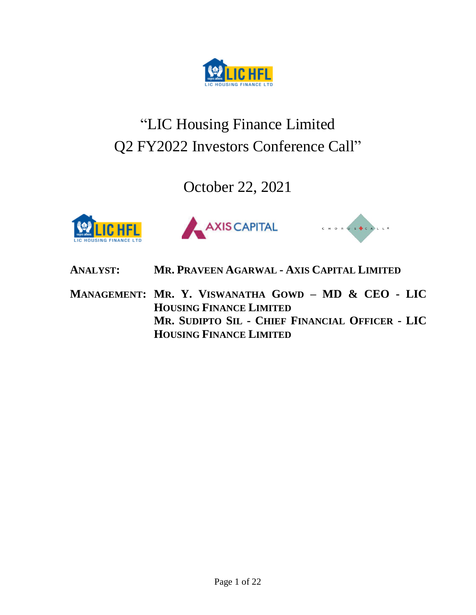

# "LIC Housing Finance Limited Q2 FY2022 Investors Conference Call"

October 22, 2021







**ANALYST: MR. PRAVEEN AGARWAL - AXIS CAPITAL LIMITED**

**MANAGEMENT: MR. Y. VISWANATHA GOWD – MD & CEO - LIC HOUSING FINANCE LIMITED MR. SUDIPTO SIL - CHIEF FINANCIAL OFFICER - LIC HOUSING FINANCE LIMITED**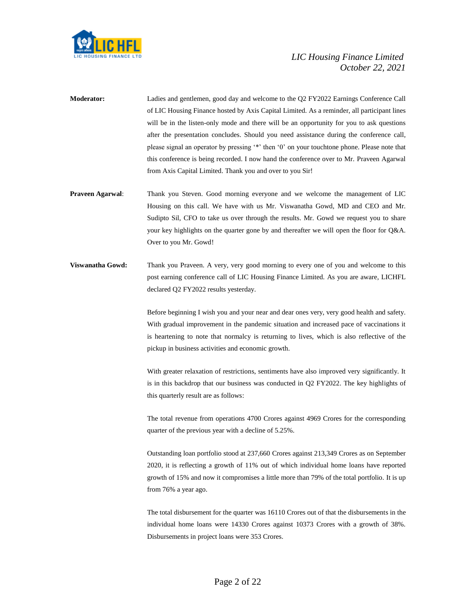

- **Moderator:** Ladies and gentlemen, good day and welcome to the Q2 FY2022 Earnings Conference Call of LIC Housing Finance hosted by Axis Capital Limited. As a reminder, all participant lines will be in the listen-only mode and there will be an opportunity for you to ask questions after the presentation concludes. Should you need assistance during the conference call, please signal an operator by pressing '\*' then '0' on your touchtone phone. Please note that this conference is being recorded. I now hand the conference over to Mr. Praveen Agarwal from Axis Capital Limited. Thank you and over to you Sir!
- **Praveen Agarwal**: Thank you Steven. Good morning everyone and we welcome the management of LIC Housing on this call. We have with us Mr. Viswanatha Gowd, MD and CEO and Mr. Sudipto Sil, CFO to take us over through the results. Mr. Gowd we request you to share your key highlights on the quarter gone by and thereafter we will open the floor for Q&A. Over to you Mr. Gowd!
- **Viswanatha Gowd:** Thank you Praveen. A very, very good morning to every one of you and welcome to this post earning conference call of LIC Housing Finance Limited. As you are aware, LICHFL declared Q2 FY2022 results yesterday.

Before beginning I wish you and your near and dear ones very, very good health and safety. With gradual improvement in the pandemic situation and increased pace of vaccinations it is heartening to note that normalcy is returning to lives, which is also reflective of the pickup in business activities and economic growth.

With greater relaxation of restrictions, sentiments have also improved very significantly. It is in this backdrop that our business was conducted in Q2 FY2022. The key highlights of this quarterly result are as follows:

The total revenue from operations 4700 Crores against 4969 Crores for the corresponding quarter of the previous year with a decline of 5.25%.

Outstanding loan portfolio stood at 237,660 Crores against 213,349 Crores as on September 2020, it is reflecting a growth of 11% out of which individual home loans have reported growth of 15% and now it compromises a little more than 79% of the total portfolio. It is up from 76% a year ago.

The total disbursement for the quarter was 16110 Crores out of that the disbursements in the individual home loans were 14330 Crores against 10373 Crores with a growth of 38%. Disbursements in project loans were 353 Crores.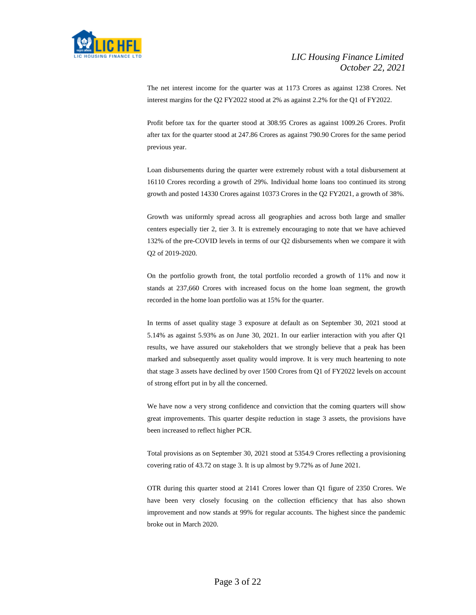

The net interest income for the quarter was at 1173 Crores as against 1238 Crores. Net interest margins for the Q2 FY2022 stood at 2% as against 2.2% for the Q1 of FY2022.

Profit before tax for the quarter stood at 308.95 Crores as against 1009.26 Crores. Profit after tax for the quarter stood at 247.86 Crores as against 790.90 Crores for the same period previous year.

Loan disbursements during the quarter were extremely robust with a total disbursement at 16110 Crores recording a growth of 29%. Individual home loans too continued its strong growth and posted 14330 Crores against 10373 Crores in the Q2 FY2021, a growth of 38%.

Growth was uniformly spread across all geographies and across both large and smaller centers especially tier 2, tier 3. It is extremely encouraging to note that we have achieved 132% of the pre-COVID levels in terms of our Q2 disbursements when we compare it with Q2 of 2019-2020.

On the portfolio growth front, the total portfolio recorded a growth of 11% and now it stands at 237,660 Crores with increased focus on the home loan segment, the growth recorded in the home loan portfolio was at 15% for the quarter.

In terms of asset quality stage 3 exposure at default as on September 30, 2021 stood at 5.14% as against 5.93% as on June 30, 2021. In our earlier interaction with you after Q1 results, we have assured our stakeholders that we strongly believe that a peak has been marked and subsequently asset quality would improve. It is very much heartening to note that stage 3 assets have declined by over 1500 Crores from Q1 of FY2022 levels on account of strong effort put in by all the concerned.

We have now a very strong confidence and conviction that the coming quarters will show great improvements. This quarter despite reduction in stage 3 assets, the provisions have been increased to reflect higher PCR.

Total provisions as on September 30, 2021 stood at 5354.9 Crores reflecting a provisioning covering ratio of 43.72 on stage 3. It is up almost by 9.72% as of June 2021.

OTR during this quarter stood at 2141 Crores lower than Q1 figure of 2350 Crores. We have been very closely focusing on the collection efficiency that has also shown improvement and now stands at 99% for regular accounts. The highest since the pandemic broke out in March 2020.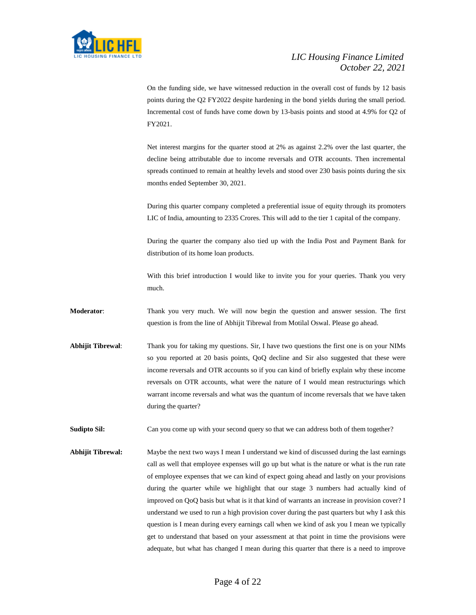

On the funding side, we have witnessed reduction in the overall cost of funds by 12 basis points during the Q2 FY2022 despite hardening in the bond yields during the small period. Incremental cost of funds have come down by 13-basis points and stood at 4.9% for Q2 of FY2021.

Net interest margins for the quarter stood at 2% as against 2.2% over the last quarter, the decline being attributable due to income reversals and OTR accounts. Then incremental spreads continued to remain at healthy levels and stood over 230 basis points during the six months ended September 30, 2021.

During this quarter company completed a preferential issue of equity through its promoters LIC of India, amounting to 2335 Crores. This will add to the tier 1 capital of the company.

During the quarter the company also tied up with the India Post and Payment Bank for distribution of its home loan products.

With this brief introduction I would like to invite you for your queries. Thank you very much.

**Moderator**: Thank you very much. We will now begin the question and answer session. The first question is from the line of Abhijit Tibrewal from Motilal Oswal. Please go ahead.

**Abhijit Tibrewal**: Thank you for taking my questions. Sir, I have two questions the first one is on your NIMs so you reported at 20 basis points, QoQ decline and Sir also suggested that these were income reversals and OTR accounts so if you can kind of briefly explain why these income reversals on OTR accounts, what were the nature of I would mean restructurings which warrant income reversals and what was the quantum of income reversals that we have taken during the quarter?

**Sudipto Sil:** Can you come up with your second query so that we can address both of them together?

**Abhijit Tibrewal:** Maybe the next two ways I mean I understand we kind of discussed during the last earnings call as well that employee expenses will go up but what is the nature or what is the run rate of employee expenses that we can kind of expect going ahead and lastly on your provisions during the quarter while we highlight that our stage 3 numbers had actually kind of improved on QoQ basis but what is it that kind of warrants an increase in provision cover? I understand we used to run a high provision cover during the past quarters but why I ask this question is I mean during every earnings call when we kind of ask you I mean we typically get to understand that based on your assessment at that point in time the provisions were adequate, but what has changed I mean during this quarter that there is a need to improve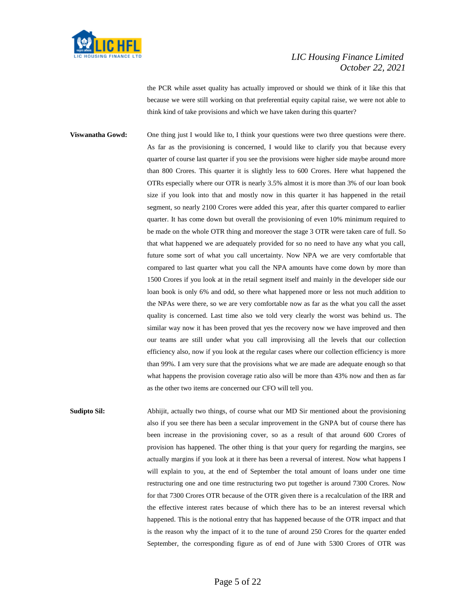

the PCR while asset quality has actually improved or should we think of it like this that because we were still working on that preferential equity capital raise, we were not able to think kind of take provisions and which we have taken during this quarter?

**Viswanatha Gowd:** One thing just I would like to, I think your questions were two three questions were there. As far as the provisioning is concerned, I would like to clarify you that because every quarter of course last quarter if you see the provisions were higher side maybe around more than 800 Crores. This quarter it is slightly less to 600 Crores. Here what happened the OTRs especially where our OTR is nearly 3.5% almost it is more than 3% of our loan book size if you look into that and mostly now in this quarter it has happened in the retail segment, so nearly 2100 Crores were added this year, after this quarter compared to earlier quarter. It has come down but overall the provisioning of even 10% minimum required to be made on the whole OTR thing and moreover the stage 3 OTR were taken care of full. So that what happened we are adequately provided for so no need to have any what you call, future some sort of what you call uncertainty. Now NPA we are very comfortable that compared to last quarter what you call the NPA amounts have come down by more than 1500 Crores if you look at in the retail segment itself and mainly in the developer side our loan book is only 6% and odd, so there what happened more or less not much addition to the NPAs were there, so we are very comfortable now as far as the what you call the asset quality is concerned. Last time also we told very clearly the worst was behind us. The similar way now it has been proved that yes the recovery now we have improved and then our teams are still under what you call improvising all the levels that our collection efficiency also, now if you look at the regular cases where our collection efficiency is more than 99%. I am very sure that the provisions what we are made are adequate enough so that what happens the provision coverage ratio also will be more than 43% now and then as far as the other two items are concerned our CFO will tell you.

**Sudipto Sil:** Abhijit, actually two things, of course what our MD Sir mentioned about the provisioning also if you see there has been a secular improvement in the GNPA but of course there has been increase in the provisioning cover, so as a result of that around 600 Crores of provision has happened. The other thing is that your query for regarding the margins, see actually margins if you look at it there has been a reversal of interest. Now what happens I will explain to you, at the end of September the total amount of loans under one time restructuring one and one time restructuring two put together is around 7300 Crores. Now for that 7300 Crores OTR because of the OTR given there is a recalculation of the IRR and the effective interest rates because of which there has to be an interest reversal which happened. This is the notional entry that has happened because of the OTR impact and that is the reason why the impact of it to the tune of around 250 Crores for the quarter ended September, the corresponding figure as of end of June with 5300 Crores of OTR was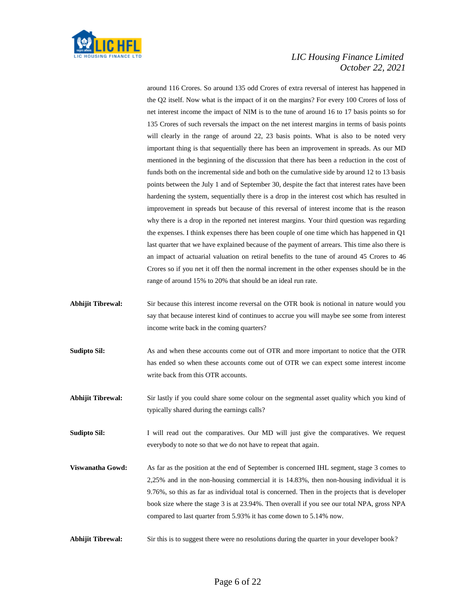

around 116 Crores. So around 135 odd Crores of extra reversal of interest has happened in the Q2 itself. Now what is the impact of it on the margins? For every 100 Crores of loss of net interest income the impact of NIM is to the tune of around 16 to 17 basis points so for 135 Crores of such reversals the impact on the net interest margins in terms of basis points will clearly in the range of around 22, 23 basis points. What is also to be noted very important thing is that sequentially there has been an improvement in spreads. As our MD mentioned in the beginning of the discussion that there has been a reduction in the cost of funds both on the incremental side and both on the cumulative side by around 12 to 13 basis points between the July 1 and of September 30, despite the fact that interest rates have been hardening the system, sequentially there is a drop in the interest cost which has resulted in improvement in spreads but because of this reversal of interest income that is the reason why there is a drop in the reported net interest margins. Your third question was regarding the expenses. I think expenses there has been couple of one time which has happened in Q1 last quarter that we have explained because of the payment of arrears. This time also there is an impact of actuarial valuation on retiral benefits to the tune of around 45 Crores to 46 Crores so if you net it off then the normal increment in the other expenses should be in the range of around 15% to 20% that should be an ideal run rate.

- **Abhijit Tibrewal:** Sir because this interest income reversal on the OTR book is notional in nature would you say that because interest kind of continues to accrue you will maybe see some from interest income write back in the coming quarters?
- **Sudipto Sil:** As and when these accounts come out of OTR and more important to notice that the OTR has ended so when these accounts come out of OTR we can expect some interest income write back from this OTR accounts.
- **Abhijit Tibrewal:** Sir lastly if you could share some colour on the segmental asset quality which you kind of typically shared during the earnings calls?
- **Sudipto Sil:** I will read out the comparatives. Our MD will just give the comparatives. We request everybody to note so that we do not have to repeat that again.
- **Viswanatha Gowd:** As far as the position at the end of September is concerned IHL segment, stage 3 comes to 2,25% and in the non-housing commercial it is 14.83%, then non-housing individual it is 9.76%, so this as far as individual total is concerned. Then in the projects that is developer book size where the stage 3 is at 23.94%. Then overall if you see our total NPA, gross NPA compared to last quarter from 5.93% it has come down to 5.14% now.
- **Abhijit Tibrewal:** Sir this is to suggest there were no resolutions during the quarter in your developer book?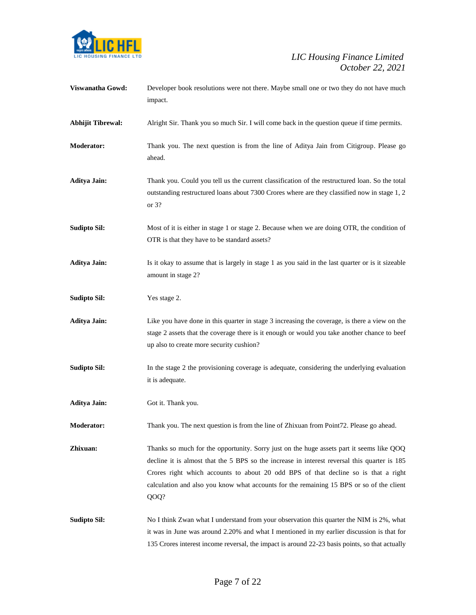

| Viswanatha Gowd:         | Developer book resolutions were not there. Maybe small one or two they do not have much<br>impact.                                                                                                                                                                                                                                                                                 |
|--------------------------|------------------------------------------------------------------------------------------------------------------------------------------------------------------------------------------------------------------------------------------------------------------------------------------------------------------------------------------------------------------------------------|
| <b>Abhijit Tibrewal:</b> | Alright Sir. Thank you so much Sir. I will come back in the question queue if time permits.                                                                                                                                                                                                                                                                                        |
| Moderator:               | Thank you. The next question is from the line of Aditya Jain from Citigroup. Please go<br>ahead.                                                                                                                                                                                                                                                                                   |
| <b>Aditya Jain:</b>      | Thank you. Could you tell us the current classification of the restructured loan. So the total<br>outstanding restructured loans about 7300 Crores where are they classified now in stage 1, 2<br>or $3?$                                                                                                                                                                          |
| <b>Sudipto Sil:</b>      | Most of it is either in stage 1 or stage 2. Because when we are doing OTR, the condition of<br>OTR is that they have to be standard assets?                                                                                                                                                                                                                                        |
| <b>Aditya Jain:</b>      | Is it okay to assume that is largely in stage 1 as you said in the last quarter or is it sizeable<br>amount in stage 2?                                                                                                                                                                                                                                                            |
| <b>Sudipto Sil:</b>      | Yes stage 2.                                                                                                                                                                                                                                                                                                                                                                       |
| <b>Aditya Jain:</b>      | Like you have done in this quarter in stage 3 increasing the coverage, is there a view on the<br>stage 2 assets that the coverage there is it enough or would you take another chance to beef<br>up also to create more security cushion?                                                                                                                                          |
| <b>Sudipto Sil:</b>      | In the stage 2 the provisioning coverage is adequate, considering the underlying evaluation<br>it is adequate.                                                                                                                                                                                                                                                                     |
| <b>Aditya Jain:</b>      | Got it. Thank you.                                                                                                                                                                                                                                                                                                                                                                 |
| <b>Moderator:</b>        | Thank you. The next question is from the line of Zhixuan from Point72. Please go ahead.                                                                                                                                                                                                                                                                                            |
| Zhixuan:                 | Thanks so much for the opportunity. Sorry just on the huge assets part it seems like QOQ<br>decline it is almost that the 5 BPS so the increase in interest reversal this quarter is 185<br>Crores right which accounts to about 20 odd BPS of that decline so is that a right<br>calculation and also you know what accounts for the remaining 15 BPS or so of the client<br>QOQ? |
| <b>Sudipto Sil:</b>      | No I think Zwan what I understand from your observation this quarter the NIM is 2%, what<br>it was in June was around 2.20% and what I mentioned in my earlier discussion is that for<br>135 Crores interest income reversal, the impact is around 22-23 basis points, so that actually                                                                                            |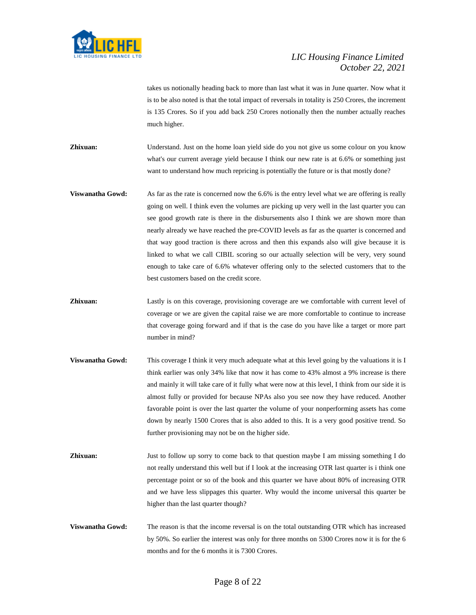

takes us notionally heading back to more than last what it was in June quarter. Now what it is to be also noted is that the total impact of reversals in totality is 250 Crores, the increment is 135 Crores. So if you add back 250 Crores notionally then the number actually reaches much higher.

**Zhixuan:** Understand. Just on the home loan yield side do you not give us some colour on you know what's our current average yield because I think our new rate is at 6.6% or something just want to understand how much repricing is potentially the future or is that mostly done?

- **Viswanatha Gowd:** As far as the rate is concerned now the 6.6% is the entry level what we are offering is really going on well. I think even the volumes are picking up very well in the last quarter you can see good growth rate is there in the disbursements also I think we are shown more than nearly already we have reached the pre-COVID levels as far as the quarter is concerned and that way good traction is there across and then this expands also will give because it is linked to what we call CIBIL scoring so our actually selection will be very, very sound enough to take care of 6.6% whatever offering only to the selected customers that to the best customers based on the credit score.
- **Zhixuan:** Lastly is on this coverage, provisioning coverage are we comfortable with current level of coverage or we are given the capital raise we are more comfortable to continue to increase that coverage going forward and if that is the case do you have like a target or more part number in mind?
- **Viswanatha Gowd:** This coverage I think it very much adequate what at this level going by the valuations it is I think earlier was only 34% like that now it has come to 43% almost a 9% increase is there and mainly it will take care of it fully what were now at this level, I think from our side it is almost fully or provided for because NPAs also you see now they have reduced. Another favorable point is over the last quarter the volume of your nonperforming assets has come down by nearly 1500 Crores that is also added to this. It is a very good positive trend. So further provisioning may not be on the higher side.
- **Zhixuan:** Just to follow up sorry to come back to that question maybe I am missing something I do not really understand this well but if I look at the increasing OTR last quarter is i think one percentage point or so of the book and this quarter we have about 80% of increasing OTR and we have less slippages this quarter. Why would the income universal this quarter be higher than the last quarter though?
- **Viswanatha Gowd:** The reason is that the income reversal is on the total outstanding OTR which has increased by 50%. So earlier the interest was only for three months on 5300 Crores now it is for the 6 months and for the 6 months it is 7300 Crores.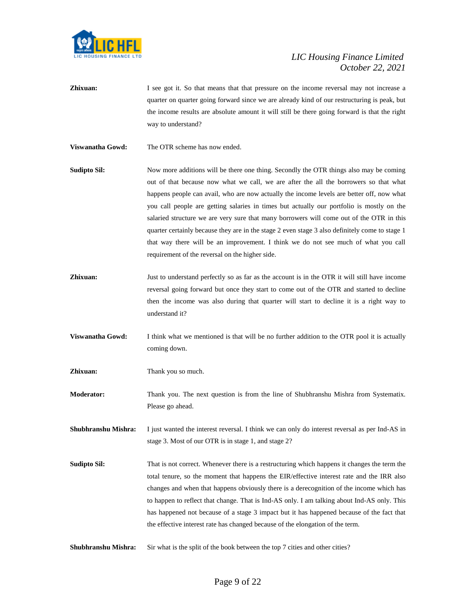

**Zhixuan:** I see got it. So that means that that pressure on the income reversal may not increase a quarter on quarter going forward since we are already kind of our restructuring is peak, but the income results are absolute amount it will still be there going forward is that the right way to understand?

**Viswanatha Gowd:** The OTR scheme has now ended.

- **Sudipto Sil:** Now more additions will be there one thing. Secondly the OTR things also may be coming out of that because now what we call, we are after the all the borrowers so that what happens people can avail, who are now actually the income levels are better off, now what you call people are getting salaries in times but actually our portfolio is mostly on the salaried structure we are very sure that many borrowers will come out of the OTR in this quarter certainly because they are in the stage 2 even stage 3 also definitely come to stage 1 that way there will be an improvement. I think we do not see much of what you call requirement of the reversal on the higher side.
- **Zhixuan:** Just to understand perfectly so as far as the account is in the OTR it will still have income reversal going forward but once they start to come out of the OTR and started to decline then the income was also during that quarter will start to decline it is a right way to understand it?
- **Viswanatha Gowd:** I think what we mentioned is that will be no further addition to the OTR pool it is actually coming down.

**Zhixuan:** Thank you so much.

**Moderator:** Thank you. The next question is from the line of Shubhranshu Mishra from Systematix. Please go ahead.

**Shubhranshu Mishra:** I just wanted the interest reversal. I think we can only do interest reversal as per Ind-AS in stage 3. Most of our OTR is in stage 1, and stage 2?

**Sudipto Sil:** That is not correct. Whenever there is a restructuring which happens it changes the term the total tenure, so the moment that happens the EIR/effective interest rate and the IRR also changes and when that happens obviously there is a derecognition of the income which has to happen to reflect that change. That is Ind-AS only. I am talking about Ind-AS only. This has happened not because of a stage 3 impact but it has happened because of the fact that the effective interest rate has changed because of the elongation of the term.

**Shubhranshu Mishra:** Sir what is the split of the book between the top 7 cities and other cities?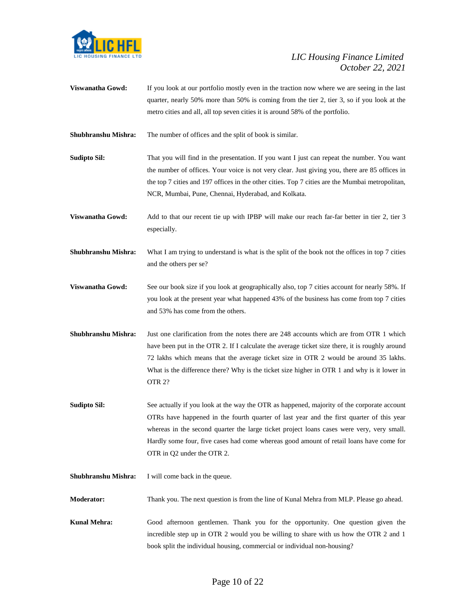

- **Viswanatha Gowd:** If you look at our portfolio mostly even in the traction now where we are seeing in the last quarter, nearly 50% more than 50% is coming from the tier 2, tier 3, so if you look at the metro cities and all, all top seven cities it is around 58% of the portfolio.
- **Shubhranshu Mishra:** The number of offices and the split of book is similar.
- **Sudipto Sil:** That you will find in the presentation. If you want I just can repeat the number. You want the number of offices. Your voice is not very clear. Just giving you, there are 85 offices in the top 7 cities and 197 offices in the other cities. Top 7 cities are the Mumbai metropolitan, NCR, Mumbai, Pune, Chennai, Hyderabad, and Kolkata.
- **Viswanatha Gowd:** Add to that our recent tie up with IPBP will make our reach far-far better in tier 2, tier 3 especially.
- **Shubhranshu Mishra:** What I am trying to understand is what is the split of the book not the offices in top 7 cities and the others per se?
- **Viswanatha Gowd:** See our book size if you look at geographically also, top 7 cities account for nearly 58%. If you look at the present year what happened 43% of the business has come from top 7 cities and 53% has come from the others.
- **Shubhranshu Mishra:** Just one clarification from the notes there are 248 accounts which are from OTR 1 which have been put in the OTR 2. If I calculate the average ticket size there, it is roughly around 72 lakhs which means that the average ticket size in OTR 2 would be around 35 lakhs. What is the difference there? Why is the ticket size higher in OTR 1 and why is it lower in OTR 2?
- **Sudipto Sil:** See actually if you look at the way the OTR as happened, majority of the corporate account OTRs have happened in the fourth quarter of last year and the first quarter of this year whereas in the second quarter the large ticket project loans cases were very, very small. Hardly some four, five cases had come whereas good amount of retail loans have come for OTR in Q2 under the OTR 2.
- **Shubhranshu Mishra:** I will come back in the queue.
- **Moderator:** Thank you. The next question is from the line of Kunal Mehra from MLP. Please go ahead.
- **Kunal Mehra:** Good afternoon gentlemen. Thank you for the opportunity. One question given the incredible step up in OTR 2 would you be willing to share with us how the OTR 2 and 1 book split the individual housing, commercial or individual non-housing?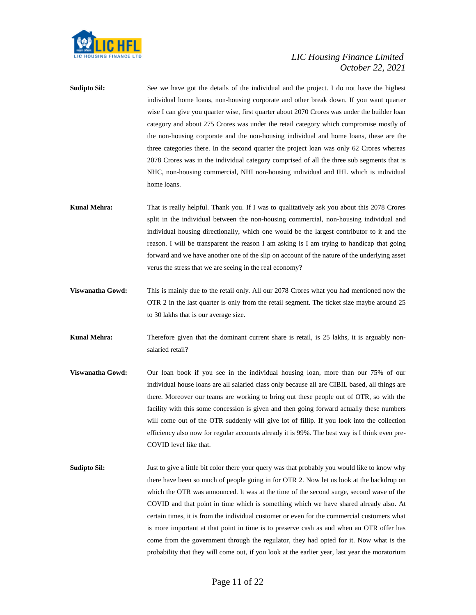

**Sudipto Sil:** See we have got the details of the individual and the project. I do not have the highest individual home loans, non-housing corporate and other break down. If you want quarter wise I can give you quarter wise, first quarter about 2070 Crores was under the builder loan category and about 275 Crores was under the retail category which compromise mostly of the non-housing corporate and the non-housing individual and home loans, these are the three categories there. In the second quarter the project loan was only 62 Crores whereas 2078 Crores was in the individual category comprised of all the three sub segments that is NHC, non-housing commercial, NHI non-housing individual and IHL which is individual home loans.

- **Kunal Mehra:** That is really helpful. Thank you. If I was to qualitatively ask you about this 2078 Crores split in the individual between the non-housing commercial, non-housing individual and individual housing directionally, which one would be the largest contributor to it and the reason. I will be transparent the reason I am asking is I am trying to handicap that going forward and we have another one of the slip on account of the nature of the underlying asset verus the stress that we are seeing in the real economy?
- **Viswanatha Gowd:** This is mainly due to the retail only. All our 2078 Crores what you had mentioned now the OTR 2 in the last quarter is only from the retail segment. The ticket size maybe around 25 to 30 lakhs that is our average size.
- **Kunal Mehra:** Therefore given that the dominant current share is retail, is 25 lakhs, it is arguably nonsalaried retail?
- **Viswanatha Gowd:** Our loan book if you see in the individual housing loan, more than our 75% of our individual house loans are all salaried class only because all are CIBIL based, all things are there. Moreover our teams are working to bring out these people out of OTR, so with the facility with this some concession is given and then going forward actually these numbers will come out of the OTR suddenly will give lot of fillip. If you look into the collection efficiency also now for regular accounts already it is 99%. The best way is I think even pre-COVID level like that.
- **Sudipto Sil:** Just to give a little bit color there your query was that probably you would like to know why there have been so much of people going in for OTR 2. Now let us look at the backdrop on which the OTR was announced. It was at the time of the second surge, second wave of the COVID and that point in time which is something which we have shared already also. At certain times, it is from the individual customer or even for the commercial customers what is more important at that point in time is to preserve cash as and when an OTR offer has come from the government through the regulator, they had opted for it. Now what is the probability that they will come out, if you look at the earlier year, last year the moratorium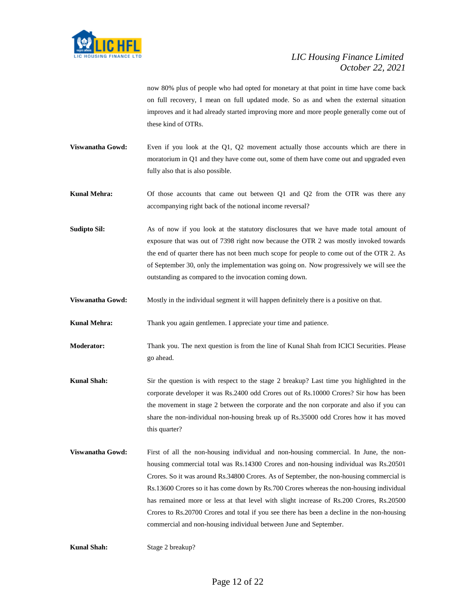

now 80% plus of people who had opted for monetary at that point in time have come back on full recovery, I mean on full updated mode. So as and when the external situation improves and it had already started improving more and more people generally come out of these kind of OTRs.

**Viswanatha Gowd:** Even if you look at the Q1, Q2 movement actually those accounts which are there in moratorium in Q1 and they have come out, some of them have come out and upgraded even fully also that is also possible.

**Kunal Mehra:** Of those accounts that came out between Q1 and Q2 from the OTR was there any accompanying right back of the notional income reversal?

- **Sudipto Sil:** As of now if you look at the statutory disclosures that we have made total amount of exposure that was out of 7398 right now because the OTR 2 was mostly invoked towards the end of quarter there has not been much scope for people to come out of the OTR 2. As of September 30, only the implementation was going on. Now progressively we will see the outstanding as compared to the invocation coming down.
- **Viswanatha Gowd:** Mostly in the individual segment it will happen definitely there is a positive on that.

**Kunal Mehra:** Thank you again gentlemen. I appreciate your time and patience.

- **Moderator:** Thank you. The next question is from the line of Kunal Shah from ICICI Securities. Please go ahead.
- **Kunal Shah:** Sir the question is with respect to the stage 2 breakup? Last time you highlighted in the corporate developer it was Rs.2400 odd Crores out of Rs.10000 Crores? Sir how has been the movement in stage 2 between the corporate and the non corporate and also if you can share the non-individual non-housing break up of Rs.35000 odd Crores how it has moved this quarter?
- **Viswanatha Gowd:** First of all the non-housing individual and non-housing commercial. In June, the nonhousing commercial total was Rs.14300 Crores and non-housing individual was Rs.20501 Crores. So it was around Rs.34800 Crores. As of September, the non-housing commercial is Rs.13600 Crores so it has come down by Rs.700 Crores whereas the non-housing individual has remained more or less at that level with slight increase of Rs.200 Crores, Rs.20500 Crores to Rs.20700 Crores and total if you see there has been a decline in the non-housing commercial and non-housing individual between June and September.

**Kunal Shah:** Stage 2 breakup?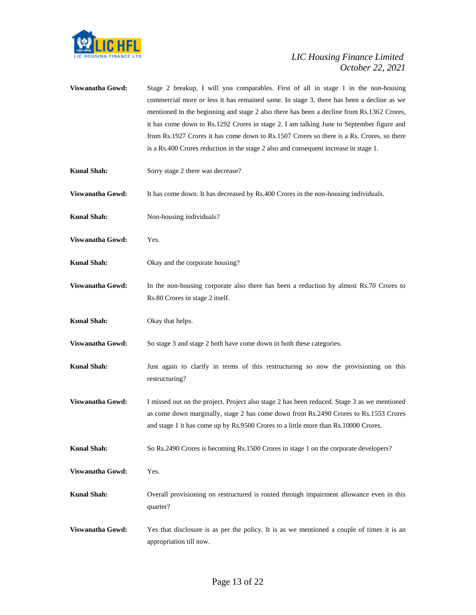

| Viswanatha Gowd:        | Stage 2 breakup, I will you comparables. First of all in stage 1 in the non-housing<br>commercial more or less it has remained same. In stage 3, there has been a decline as we<br>mentioned in the beginning and stage 2 also there has been a decline from Rs.1362 Crores,<br>it has come down to Rs.1292 Crores in stage 2. I am talking June to September figure and<br>from Rs.1927 Crores it has come down to Rs.1507 Crores so there is a Rs. Crores, so there<br>is a Rs.400 Crores reduction in the stage 2 also and consequent increase in stage 1. |
|-------------------------|---------------------------------------------------------------------------------------------------------------------------------------------------------------------------------------------------------------------------------------------------------------------------------------------------------------------------------------------------------------------------------------------------------------------------------------------------------------------------------------------------------------------------------------------------------------|
| <b>Kunal Shah:</b>      | Sorry stage 2 there was decrease?                                                                                                                                                                                                                                                                                                                                                                                                                                                                                                                             |
| Viswanatha Gowd:        | It has come down. It has decreased by Rs.400 Crores in the non-housing individuals.                                                                                                                                                                                                                                                                                                                                                                                                                                                                           |
| <b>Kunal Shah:</b>      | Non-housing individuals?                                                                                                                                                                                                                                                                                                                                                                                                                                                                                                                                      |
| Viswanatha Gowd:        | Yes.                                                                                                                                                                                                                                                                                                                                                                                                                                                                                                                                                          |
| <b>Kunal Shah:</b>      | Okay and the corporate housing?                                                                                                                                                                                                                                                                                                                                                                                                                                                                                                                               |
| Viswanatha Gowd:        | In the non-housing corporate also there has been a reduction by almost Rs.70 Crores to<br>Rs.80 Crores in stage 2 itself.                                                                                                                                                                                                                                                                                                                                                                                                                                     |
| <b>Kunal Shah:</b>      | Okay that helps.                                                                                                                                                                                                                                                                                                                                                                                                                                                                                                                                              |
| Viswanatha Gowd:        | So stage 3 and stage 2 both have come down in both these categories.                                                                                                                                                                                                                                                                                                                                                                                                                                                                                          |
|                         |                                                                                                                                                                                                                                                                                                                                                                                                                                                                                                                                                               |
| <b>Kunal Shah:</b>      | Just again to clarify in terms of this restructuring so now the provisioning on this<br>restructuring?                                                                                                                                                                                                                                                                                                                                                                                                                                                        |
| <b>Viswanatha Gowd:</b> | I missed out on the project. Project also stage 2 has been reduced. Stage 3 as we mentioned<br>as come down marginally, stage 2 has come down from Rs.2490 Crores to Rs.1553 Crores<br>and stage 1 it has come up by Rs.9500 Crores to a little more than Rs.10000 Crores.                                                                                                                                                                                                                                                                                    |
| <b>Kunal Shah:</b>      | So Rs.2490 Crores is becoming Rs.1500 Crores in stage 1 on the corporate developers?                                                                                                                                                                                                                                                                                                                                                                                                                                                                          |
| Viswanatha Gowd:        | Yes.                                                                                                                                                                                                                                                                                                                                                                                                                                                                                                                                                          |
| <b>Kunal Shah:</b>      | Overall provisioning on restructured is routed through impairment allowance even in this<br>quarter?                                                                                                                                                                                                                                                                                                                                                                                                                                                          |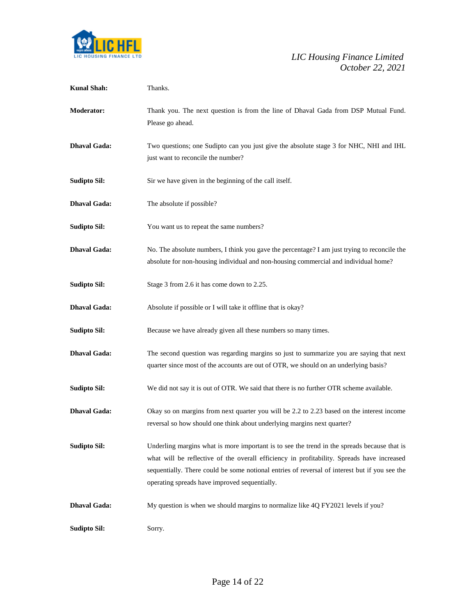

| <b>Kunal Shah:</b>  | Thanks.                                                                                                                                                                                                                                                                                                                                     |
|---------------------|---------------------------------------------------------------------------------------------------------------------------------------------------------------------------------------------------------------------------------------------------------------------------------------------------------------------------------------------|
| <b>Moderator:</b>   | Thank you. The next question is from the line of Dhaval Gada from DSP Mutual Fund.<br>Please go ahead.                                                                                                                                                                                                                                      |
| <b>Dhaval Gada:</b> | Two questions; one Sudipto can you just give the absolute stage 3 for NHC, NHI and IHL<br>just want to reconcile the number?                                                                                                                                                                                                                |
| <b>Sudipto Sil:</b> | Sir we have given in the beginning of the call itself.                                                                                                                                                                                                                                                                                      |
| <b>Dhaval Gada:</b> | The absolute if possible?                                                                                                                                                                                                                                                                                                                   |
| <b>Sudipto Sil:</b> | You want us to repeat the same numbers?                                                                                                                                                                                                                                                                                                     |
| <b>Dhaval Gada:</b> | No. The absolute numbers, I think you gave the percentage? I am just trying to reconcile the<br>absolute for non-housing individual and non-housing commercial and individual home?                                                                                                                                                         |
| <b>Sudipto Sil:</b> | Stage 3 from 2.6 it has come down to 2.25.                                                                                                                                                                                                                                                                                                  |
| <b>Dhaval Gada:</b> | Absolute if possible or I will take it offline that is okay?                                                                                                                                                                                                                                                                                |
| <b>Sudipto Sil:</b> | Because we have already given all these numbers so many times.                                                                                                                                                                                                                                                                              |
| <b>Dhaval Gada:</b> | The second question was regarding margins so just to summarize you are saying that next<br>quarter since most of the accounts are out of OTR, we should on an underlying basis?                                                                                                                                                             |
| <b>Sudipto Sil:</b> | We did not say it is out of OTR. We said that there is no further OTR scheme available.                                                                                                                                                                                                                                                     |
| <b>Dhaval Gada:</b> | Okay so on margins from next quarter you will be 2.2 to 2.23 based on the interest income<br>reversal so how should one think about underlying margins next quarter?                                                                                                                                                                        |
| <b>Sudipto Sil:</b> | Underling margins what is more important is to see the trend in the spreads because that is<br>what will be reflective of the overall efficiency in profitability. Spreads have increased<br>sequentially. There could be some notional entries of reversal of interest but if you see the<br>operating spreads have improved sequentially. |
| <b>Dhaval Gada:</b> | My question is when we should margins to normalize like 4Q FY2021 levels if you?                                                                                                                                                                                                                                                            |
| <b>Sudipto Sil:</b> | Sorry.                                                                                                                                                                                                                                                                                                                                      |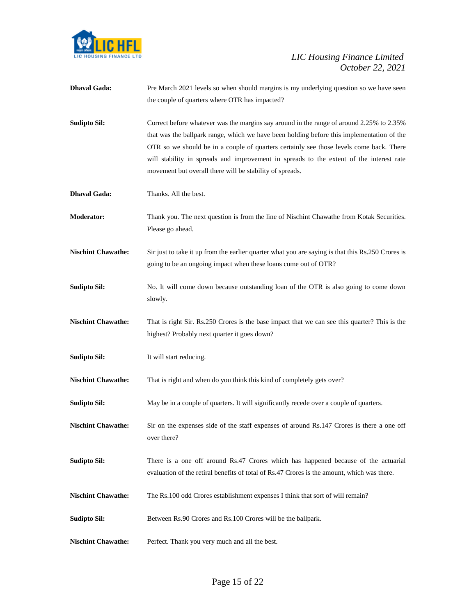

| <b>Dhaval Gada:</b>       | Pre March 2021 levels so when should margins is my underlying question so we have seen<br>the couple of quarters where OTR has impacted?                                                                                                                                                                                                                                                                                                |
|---------------------------|-----------------------------------------------------------------------------------------------------------------------------------------------------------------------------------------------------------------------------------------------------------------------------------------------------------------------------------------------------------------------------------------------------------------------------------------|
| <b>Sudipto Sil:</b>       | Correct before whatever was the margins say around in the range of around 2.25% to 2.35%<br>that was the ballpark range, which we have been holding before this implementation of the<br>OTR so we should be in a couple of quarters certainly see those levels come back. There<br>will stability in spreads and improvement in spreads to the extent of the interest rate<br>movement but overall there will be stability of spreads. |
| <b>Dhaval Gada:</b>       | Thanks. All the best.                                                                                                                                                                                                                                                                                                                                                                                                                   |
| <b>Moderator:</b>         | Thank you. The next question is from the line of Nischint Chawathe from Kotak Securities.<br>Please go ahead.                                                                                                                                                                                                                                                                                                                           |
| <b>Nischint Chawathe:</b> | Sir just to take it up from the earlier quarter what you are saying is that this Rs.250 Crores is<br>going to be an ongoing impact when these loans come out of OTR?                                                                                                                                                                                                                                                                    |
| <b>Sudipto Sil:</b>       | No. It will come down because outstanding loan of the OTR is also going to come down<br>slowly.                                                                                                                                                                                                                                                                                                                                         |
| <b>Nischint Chawathe:</b> | That is right Sir. Rs.250 Crores is the base impact that we can see this quarter? This is the<br>highest? Probably next quarter it goes down?                                                                                                                                                                                                                                                                                           |
| <b>Sudipto Sil:</b>       | It will start reducing.                                                                                                                                                                                                                                                                                                                                                                                                                 |
| <b>Nischint Chawathe:</b> | That is right and when do you think this kind of completely gets over?                                                                                                                                                                                                                                                                                                                                                                  |
| <b>Sudipto Sil:</b>       | May be in a couple of quarters. It will significantly recede over a couple of quarters.                                                                                                                                                                                                                                                                                                                                                 |
| <b>Nischint Chawathe:</b> | Sir on the expenses side of the staff expenses of around Rs.147 Crores is there a one off<br>over there?                                                                                                                                                                                                                                                                                                                                |
| <b>Sudipto Sil:</b>       | There is a one off around Rs.47 Crores which has happened because of the actuarial<br>evaluation of the retiral benefits of total of Rs.47 Crores is the amount, which was there.                                                                                                                                                                                                                                                       |
| <b>Nischint Chawathe:</b> | The Rs.100 odd Crores establishment expenses I think that sort of will remain?                                                                                                                                                                                                                                                                                                                                                          |
| <b>Sudipto Sil:</b>       | Between Rs.90 Crores and Rs.100 Crores will be the ballpark.                                                                                                                                                                                                                                                                                                                                                                            |
| <b>Nischint Chawathe:</b> | Perfect. Thank you very much and all the best.                                                                                                                                                                                                                                                                                                                                                                                          |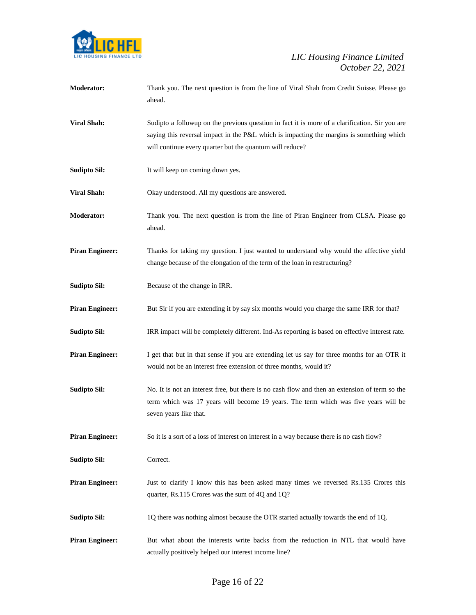

| Moderator:             | Thank you. The next question is from the line of Viral Shah from Credit Suisse. Please go<br>ahead.                                                                                                                                                    |
|------------------------|--------------------------------------------------------------------------------------------------------------------------------------------------------------------------------------------------------------------------------------------------------|
| <b>Viral Shah:</b>     | Sudipto a followup on the previous question in fact it is more of a clarification. Sir you are<br>saying this reversal impact in the P&L which is impacting the margins is something which<br>will continue every quarter but the quantum will reduce? |
| <b>Sudipto Sil:</b>    | It will keep on coming down yes.                                                                                                                                                                                                                       |
| <b>Viral Shah:</b>     | Okay understood. All my questions are answered.                                                                                                                                                                                                        |
| Moderator:             | Thank you. The next question is from the line of Piran Engineer from CLSA. Please go<br>ahead.                                                                                                                                                         |
| <b>Piran Engineer:</b> | Thanks for taking my question. I just wanted to understand why would the affective yield<br>change because of the elongation of the term of the loan in restructuring?                                                                                 |
| <b>Sudipto Sil:</b>    | Because of the change in IRR.                                                                                                                                                                                                                          |
| <b>Piran Engineer:</b> | But Sir if you are extending it by say six months would you charge the same IRR for that?                                                                                                                                                              |
| <b>Sudipto Sil:</b>    | IRR impact will be completely different. Ind-As reporting is based on effective interest rate.                                                                                                                                                         |
| <b>Piran Engineer:</b> | I get that but in that sense if you are extending let us say for three months for an OTR it<br>would not be an interest free extension of three months, would it?                                                                                      |
| <b>Sudipto Sil:</b>    | No. It is not an interest free, but there is no cash flow and then an extension of term so the<br>term which was 17 years will become 19 years. The term which was five years will be<br>seven years like that.                                        |
| <b>Piran Engineer:</b> | So it is a sort of a loss of interest on interest in a way because there is no cash flow?                                                                                                                                                              |
| <b>Sudipto Sil:</b>    | Correct.                                                                                                                                                                                                                                               |
| <b>Piran Engineer:</b> | Just to clarify I know this has been asked many times we reversed Rs.135 Crores this<br>quarter, Rs.115 Crores was the sum of 4Q and 1Q?                                                                                                               |
| <b>Sudipto Sil:</b>    | 1Q there was nothing almost because the OTR started actually towards the end of 1Q.                                                                                                                                                                    |
| <b>Piran Engineer:</b> | But what about the interests write backs from the reduction in NTL that would have<br>actually positively helped our interest income line?                                                                                                             |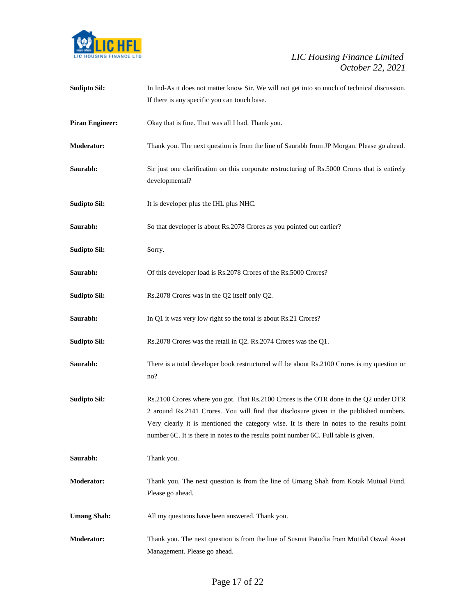

| <b>Sudipto Sil:</b>    | In Ind-As it does not matter know Sir. We will not get into so much of technical discussion.                                                                                                                                                                                                                                                                         |
|------------------------|----------------------------------------------------------------------------------------------------------------------------------------------------------------------------------------------------------------------------------------------------------------------------------------------------------------------------------------------------------------------|
|                        | If there is any specific you can touch base.                                                                                                                                                                                                                                                                                                                         |
| <b>Piran Engineer:</b> | Okay that is fine. That was all I had. Thank you.                                                                                                                                                                                                                                                                                                                    |
| <b>Moderator:</b>      | Thank you. The next question is from the line of Saurabh from JP Morgan. Please go ahead.                                                                                                                                                                                                                                                                            |
| Saurabh:               | Sir just one clarification on this corporate restructuring of Rs.5000 Crores that is entirely<br>developmental?                                                                                                                                                                                                                                                      |
| <b>Sudipto Sil:</b>    | It is developer plus the IHL plus NHC.                                                                                                                                                                                                                                                                                                                               |
| Saurabh:               | So that developer is about Rs.2078 Crores as you pointed out earlier?                                                                                                                                                                                                                                                                                                |
| <b>Sudipto Sil:</b>    | Sorry.                                                                                                                                                                                                                                                                                                                                                               |
| Saurabh:               | Of this developer load is Rs.2078 Crores of the Rs.5000 Crores?                                                                                                                                                                                                                                                                                                      |
| <b>Sudipto Sil:</b>    | Rs. 2078 Crores was in the Q2 itself only Q2.                                                                                                                                                                                                                                                                                                                        |
| Saurabh:               | In Q1 it was very low right so the total is about Rs.21 Crores?                                                                                                                                                                                                                                                                                                      |
| <b>Sudipto Sil:</b>    | Rs.2078 Crores was the retail in Q2. Rs.2074 Crores was the Q1.                                                                                                                                                                                                                                                                                                      |
| Saurabh:               | There is a total developer book restructured will be about Rs.2100 Crores is my question or<br>no?                                                                                                                                                                                                                                                                   |
| <b>Sudipto Sil:</b>    | Rs.2100 Crores where you got. That Rs.2100 Crores is the OTR done in the Q2 under OTR<br>2 around Rs.2141 Crores. You will find that disclosure given in the published numbers.<br>Very clearly it is mentioned the category wise. It is there in notes to the results point<br>number 6C. It is there in notes to the results point number 6C. Full table is given. |
| Saurabh:               | Thank you.                                                                                                                                                                                                                                                                                                                                                           |
| <b>Moderator:</b>      | Thank you. The next question is from the line of Umang Shah from Kotak Mutual Fund.<br>Please go ahead.                                                                                                                                                                                                                                                              |
| <b>Umang Shah:</b>     | All my questions have been answered. Thank you.                                                                                                                                                                                                                                                                                                                      |
| Moderator:             | Thank you. The next question is from the line of Susmit Patodia from Motilal Oswal Asset<br>Management. Please go ahead.                                                                                                                                                                                                                                             |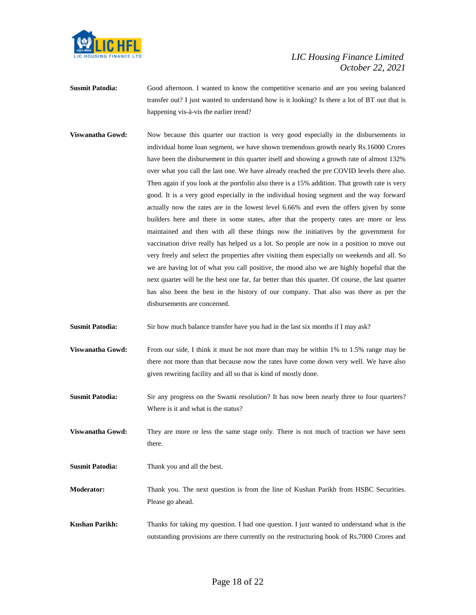

- **Susmit Patodia:** Good afternoon. I wanted to know the competitive scenario and are you seeing balanced transfer out? I just wanted to understand how is it looking? Is there a lot of BT out that is happening vis-à-vis the earlier trend?
- **Viswanatha Gowd:** Now because this quarter our traction is very good especially in the disbursements in individual home loan segment, we have shown tremendous growth nearly Rs.16000 Crores have been the disbursement in this quarter itself and showing a growth rate of almost 132% over what you call the last one. We have already reached the pre COVID levels there also. Then again if you look at the portfolio also there is a 15% addition. That growth rate is very good. It is a very good especially in the individual hosing segment and the way forward actually now the rates are in the lowest level 6.66% and even the offers given by some builders here and there in some states, after that the property rates are more or less maintained and then with all these things now the initiatives by the government for vaccination drive really has helped us a lot. So people are now in a position to move out very freely and select the properties after visiting them especially on weekends and all. So we are having lot of what you call positive, the mood also we are highly hopeful that the next quarter will be the best one far, far better than this quarter. Of course, the last quarter has also been the best in the history of our company. That also was there as per the disbursements are concerned.

**Susmit Patodia:** Sir how much balance transfer have you had in the last six months if I may ask?

- **Viswanatha Gowd:** From our side, I think it must be not more than may be within 1% to 1.5% range may be there not more than that because now the rates have come down very well. We have also given rewriting facility and all so that is kind of mostly done.
- **Susmit Patodia:** Sir any progress on the Swami resolution? It has now been nearly three to four quarters? Where is it and what is the status?
- **Viswanatha Gowd:** They are more or less the same stage only. There is not much of traction we have seen there.
- **Susmit Patodia:** Thank you and all the best.
- **Moderator:** Thank you. The next question is from the line of Kushan Parikh from HSBC Securities. Please go ahead.
- **Kushan Parikh:** Thanks for taking my question. I had one question. I just wanted to understand what is the outstanding provisions are there currently on the restructuring book of Rs.7000 Crores and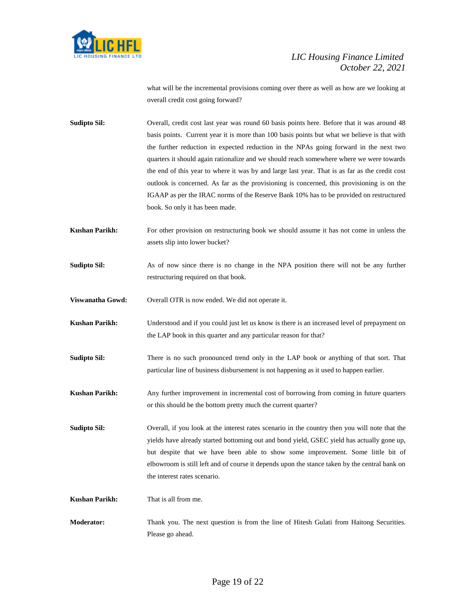

what will be the incremental provisions coming over there as well as how are we looking at overall credit cost going forward?

- **Sudipto Sil:** Overall, credit cost last year was round 60 basis points here. Before that it was around 48 basis points. Current year it is more than 100 basis points but what we believe is that with the further reduction in expected reduction in the NPAs going forward in the next two quarters it should again rationalize and we should reach somewhere where we were towards the end of this year to where it was by and large last year. That is as far as the credit cost outlook is concerned. As far as the provisioning is concerned, this provisioning is on the IGAAP as per the IRAC norms of the Reserve Bank 10% has to be provided on restructured book. So only it has been made.
- **Kushan Parikh:** For other provision on restructuring book we should assume it has not come in unless the assets slip into lower bucket?
- **Sudipto Sil:** As of now since there is no change in the NPA position there will not be any further restructuring required on that book.
- **Viswanatha Gowd:** Overall OTR is now ended. We did not operate it.
- **Kushan Parikh:** Understood and if you could just let us know is there is an increased level of prepayment on the LAP book in this quarter and any particular reason for that?
- **Sudipto Sil:** There is no such pronounced trend only in the LAP book or anything of that sort. That particular line of business disbursement is not happening as it used to happen earlier.
- **Kushan Parikh:** Any further improvement in incremental cost of borrowing from coming in future quarters or this should be the bottom pretty much the current quarter?

**Sudipto Sil:** Overall, if you look at the interest rates scenario in the country then you will note that the yields have already started bottoming out and bond yield, GSEC yield has actually gone up, but despite that we have been able to show some improvement. Some little bit of elbowroom is still left and of course it depends upon the stance taken by the central bank on the interest rates scenario.

**Kushan Parikh:** That is all from me.

**Moderator:** Thank you. The next question is from the line of Hitesh Gulati from Haitong Securities. Please go ahead.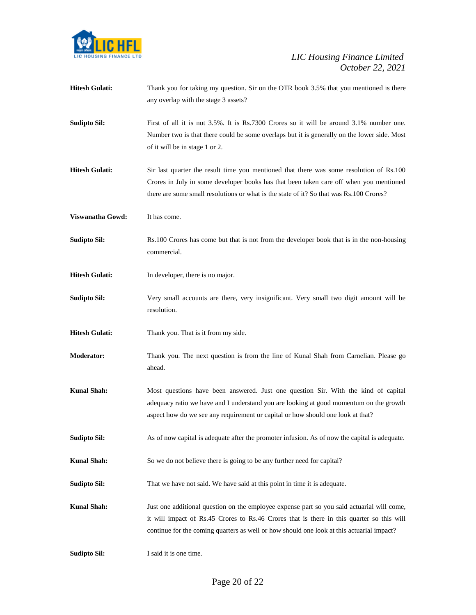

| <b>Hitesh Gulati:</b> | Thank you for taking my question. Sir on the OTR book 3.5% that you mentioned is there<br>any overlap with the stage 3 assets?                                                                                                                                                       |
|-----------------------|--------------------------------------------------------------------------------------------------------------------------------------------------------------------------------------------------------------------------------------------------------------------------------------|
| <b>Sudipto Sil:</b>   | First of all it is not 3.5%. It is Rs.7300 Crores so it will be around 3.1% number one.<br>Number two is that there could be some overlaps but it is generally on the lower side. Most<br>of it will be in stage 1 or 2.                                                             |
| <b>Hitesh Gulati:</b> | Sir last quarter the result time you mentioned that there was some resolution of Rs.100<br>Crores in July in some developer books has that been taken care off when you mentioned<br>there are some small resolutions or what is the state of it? So that was Rs.100 Crores?         |
| Viswanatha Gowd:      | It has come.                                                                                                                                                                                                                                                                         |
| <b>Sudipto Sil:</b>   | Rs.100 Crores has come but that is not from the developer book that is in the non-housing<br>commercial.                                                                                                                                                                             |
| <b>Hitesh Gulati:</b> | In developer, there is no major.                                                                                                                                                                                                                                                     |
| <b>Sudipto Sil:</b>   | Very small accounts are there, very insignificant. Very small two digit amount will be<br>resolution.                                                                                                                                                                                |
| <b>Hitesh Gulati:</b> | Thank you. That is it from my side.                                                                                                                                                                                                                                                  |
| <b>Moderator:</b>     | Thank you. The next question is from the line of Kunal Shah from Carnelian. Please go<br>ahead.                                                                                                                                                                                      |
| <b>Kunal Shah:</b>    | Most questions have been answered. Just one question Sir. With the kind of capital<br>adequacy ratio we have and I understand you are looking at good momentum on the growth<br>aspect how do we see any requirement or capital or how should one look at that?                      |
| <b>Sudipto Sil:</b>   | As of now capital is adequate after the promoter infusion. As of now the capital is adequate.                                                                                                                                                                                        |
| <b>Kunal Shah:</b>    | So we do not believe there is going to be any further need for capital?                                                                                                                                                                                                              |
| <b>Sudipto Sil:</b>   | That we have not said. We have said at this point in time it is adequate.                                                                                                                                                                                                            |
| <b>Kunal Shah:</b>    | Just one additional question on the employee expense part so you said actuarial will come,<br>it will impact of Rs.45 Crores to Rs.46 Crores that is there in this quarter so this will<br>continue for the coming quarters as well or how should one look at this actuarial impact? |
| <b>Sudipto Sil:</b>   | I said it is one time.                                                                                                                                                                                                                                                               |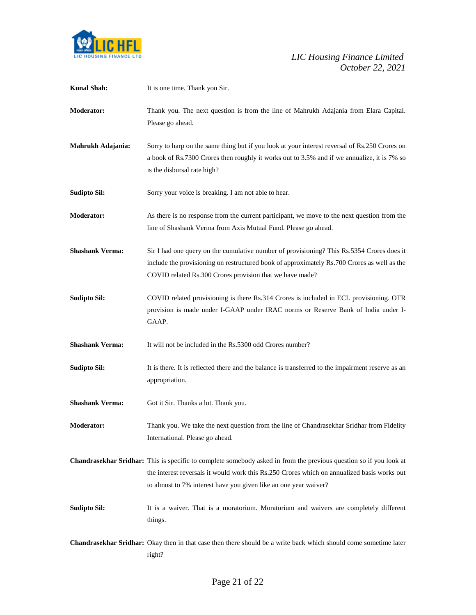

| <b>Kunal Shah:</b>     | It is one time. Thank you Sir.                                                                                                                                                                                                                                                        |
|------------------------|---------------------------------------------------------------------------------------------------------------------------------------------------------------------------------------------------------------------------------------------------------------------------------------|
| <b>Moderator:</b>      | Thank you. The next question is from the line of Mahrukh Adajania from Elara Capital.<br>Please go ahead.                                                                                                                                                                             |
| Mahrukh Adajania:      | Sorry to harp on the same thing but if you look at your interest reversal of Rs.250 Crores on<br>a book of Rs.7300 Crores then roughly it works out to 3.5% and if we annualize, it is 7% so<br>is the disbursal rate high?                                                           |
| <b>Sudipto Sil:</b>    | Sorry your voice is breaking. I am not able to hear.                                                                                                                                                                                                                                  |
| <b>Moderator:</b>      | As there is no response from the current participant, we move to the next question from the<br>line of Shashank Verma from Axis Mutual Fund. Please go ahead.                                                                                                                         |
| <b>Shashank Verma:</b> | Sir I had one query on the cumulative number of provisioning? This Rs.5354 Crores does it<br>include the provisioning on restructured book of approximately Rs.700 Crores as well as the<br>COVID related Rs.300 Crores provision that we have made?                                  |
| <b>Sudipto Sil:</b>    | COVID related provisioning is there Rs.314 Crores is included in ECL provisioning. OTR<br>provision is made under I-GAAP under IRAC norms or Reserve Bank of India under I-<br>GAAP.                                                                                                  |
| <b>Shashank Verma:</b> | It will not be included in the Rs.5300 odd Crores number?                                                                                                                                                                                                                             |
| <b>Sudipto Sil:</b>    | It is there. It is reflected there and the balance is transferred to the impairment reserve as an<br>appropriation.                                                                                                                                                                   |
| <b>Shashank Verma:</b> | Got it Sir. Thanks a lot. Thank you.                                                                                                                                                                                                                                                  |
| <b>Moderator:</b>      | Thank you. We take the next question from the line of Chandrasekhar Sridhar from Fidelity<br>International. Please go ahead.                                                                                                                                                          |
|                        | Chandrasekhar Sridhar: This is specific to complete somebody asked in from the previous question so if you look at<br>the interest reversals it would work this Rs.250 Crores which on annualized basis works out<br>to almost to 7% interest have you given like an one year waiver? |
| <b>Sudipto Sil:</b>    | It is a waiver. That is a moratorium. Moratorium and waivers are completely different<br>things.                                                                                                                                                                                      |
|                        | Chandrasekhar Sridhar: Okay then in that case then there should be a write back which should come sometime later<br>right?                                                                                                                                                            |